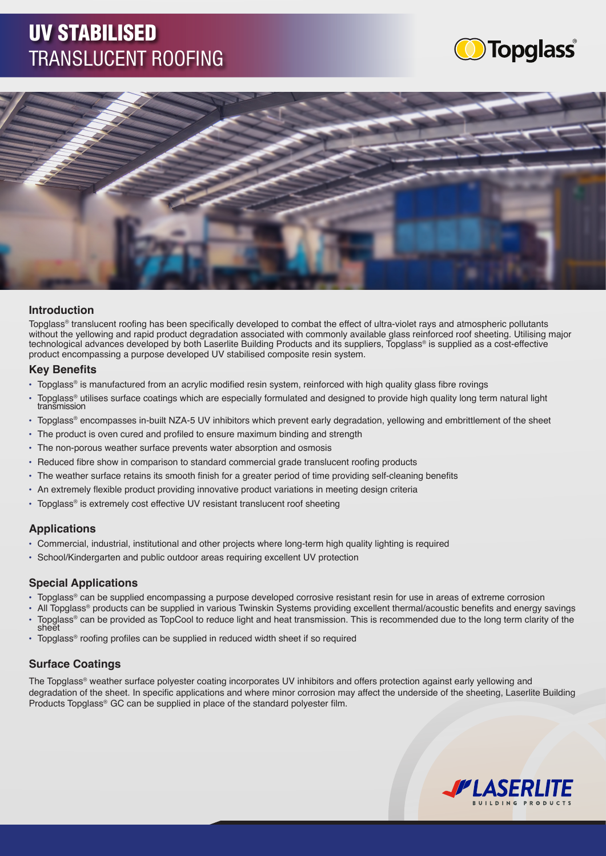# UV STABILISED TRANSLUCENT ROOFING





## **Introduction**

Topglass® translucent roofing has been specifically developed to combat the effect of ultra-violet rays and atmospheric pollutants without the yellowing and rapid product degradation associated with commonly available glass reinforced roof sheeting. Utilising major technological advances developed by both Laserlite Building Products and its suppliers, Topglass® is supplied as a cost-effective product encompassing a purpose developed UV stabilised composite resin system.

#### **Key Benefits**

- Topglass® is manufactured from an acrylic modified resin system, reinforced with high quality glass fibre rovings
- Topglass® utilises surface coatings which are especially formulated and designed to provide high quality long term natural light transmission
- Topglass® encompasses in-built NZA-5 UV inhibitors which prevent early degradation, yellowing and embrittlement of the sheet
- The product is oven cured and profiled to ensure maximum binding and strength
- The non-porous weather surface prevents water absorption and osmosis
- Reduced fibre show in comparison to standard commercial grade translucent roofing products
- The weather surface retains its smooth finish for a greater period of time providing self-cleaning benefits
- An extremely flexible product providing innovative product variations in meeting design criteria
- Topglass® is extremely cost effective UV resistant translucent roof sheeting

## **Applications**

- Commercial, industrial, institutional and other projects where long-term high quality lighting is required
- School/Kindergarten and public outdoor areas requiring excellent UV protection

### **Special Applications**

- Topglass® can be supplied encompassing a purpose developed corrosive resistant resin for use in areas of extreme corrosion
- All Topglass® products can be supplied in various Twinskin Systems providing excellent thermal/acoustic benefits and energy savings
- Topglass® can be provided as TopCool to reduce light and heat transmission. This is recommended due to the long term clarity of the sheet
- Topglass® roofing profiles can be supplied in reduced width sheet if so required

# **Surface Coatings**

The Topglass® weather surface polyester coating incorporates UV inhibitors and offers protection against early yellowing and degradation of the sheet. In specific applications and where minor corrosion may affect the underside of the sheeting, Laserlite Building Products Topglass® GC can be supplied in place of the standard polyester film.